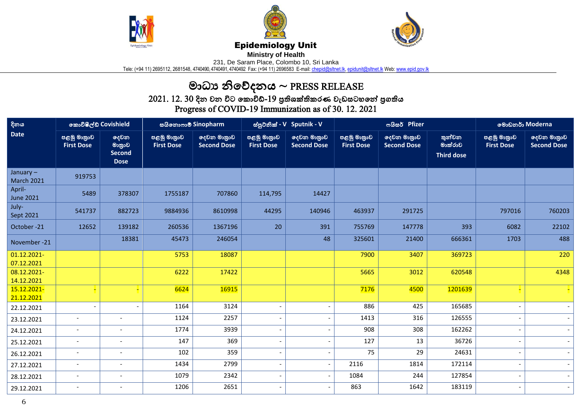





## Epidemiology Unit

**Ministry of Health** 

231, De Saram Place, Colombo 10, Sri Lanka

Tele: (+94 11) 2695112, 2681548, 4740490, 4740491, 4740492 Fax: (+94 11) 2696583 E-mail: <u>chepid@sltnet.lk, [epidunit@sltnet.lk](mailto:epidunit@sltnet.lk)</u> Web: <u>www.epid.gov.lk</u>

## මාධ්ය නිවේදනය ~ PRESS RELEASE

 $2021$ .  $12$ .  $30$  දින වන විට කොවිඩ්- $19$  පුතිශක්තිකරණ වැඩසටහනේ පුගතිය Progress of COVID-19 Immunization as of 30. 12. 2021

| දිනය<br><b>Date</b>              | කොවිෂීල්ඩ Covishield             |                                                | සයිනොෆාම් Sinopharm              |                                   | ස්පුටනික් - V Sputnik - V        |                                   |                                  | ოයිසර් Pfizer                     | මොඩනර් Moderna                         |                                  |                                   |
|----------------------------------|----------------------------------|------------------------------------------------|----------------------------------|-----------------------------------|----------------------------------|-----------------------------------|----------------------------------|-----------------------------------|----------------------------------------|----------------------------------|-----------------------------------|
|                                  | පළමු මාතුාව<br><b>First Dose</b> | දෙවන<br>මානුාව<br><b>Second</b><br><b>Dose</b> | පළමු මාතුාව<br><b>First Dose</b> | දෙවන මාතුාව<br><b>Second Dose</b> | පළමු මාතුාව<br><b>First Dose</b> | ලදවන මාතුාව<br><b>Second Dose</b> | පළමු මාතුාව<br><b>First Dose</b> | දෙවන මාතුාව<br><b>Second Dose</b> | තුන්වන<br>මාක්රාව<br><b>Third dose</b> | පළමු මාතුාව<br><b>First Dose</b> | දෙවන මාතුාව<br><b>Second Dose</b> |
| January $-$<br><b>March 2021</b> | 919753                           |                                                |                                  |                                   |                                  |                                   |                                  |                                   |                                        |                                  |                                   |
| April-<br><b>June 2021</b>       | 5489                             | 378307                                         | 1755187                          | 707860                            | 114,795                          | 14427                             |                                  |                                   |                                        |                                  |                                   |
| July-<br>Sept 2021               | 541737                           | 882723                                         | 9884936                          | 8610998                           | 44295                            | 140946                            | 463937                           | 291725                            |                                        | 797016                           | 760203                            |
| October-21                       | 12652                            | 139182                                         | 260536                           | 1367196                           | 20                               | 391                               | 755769                           | 147778                            | 393                                    | 6082                             | 22102                             |
| November -21                     |                                  | 18381                                          | 45473                            | 246054                            |                                  | 48                                | 325601                           | 21400                             | 666361                                 | 1703                             | 488                               |
| 01.12.2021-<br>07.12.2021        |                                  |                                                | 5753                             | 18087                             |                                  |                                   | 7900                             | 3407                              | 369723                                 |                                  | 220                               |
| 08.12.2021-<br>14.12.2021        |                                  |                                                | 6222                             | 17422                             |                                  |                                   | 5665                             | 3012                              | 620548                                 |                                  | 4348                              |
| 15.12.2021-<br>21.12.2021        |                                  |                                                | 6624                             | 16915                             |                                  |                                   | 7176                             | 4500                              | 1201639                                |                                  |                                   |
| 22.12.2021                       |                                  |                                                | 1164                             | 3124                              |                                  | $\overline{\phantom{a}}$          | 886                              | 425                               | 165685                                 |                                  |                                   |
| 23.12.2021                       |                                  |                                                | 1124                             | 2257                              |                                  | $\overline{\phantom{0}}$          | 1413                             | 316                               | 126555                                 |                                  |                                   |
| 24.12.2021                       | $\overline{\phantom{a}}$         |                                                | 1774                             | 3939                              |                                  | $\qquad \qquad \blacksquare$      | 908                              | 308                               | 162262                                 |                                  |                                   |
| 25.12.2021                       | $\overline{\phantom{a}}$         | $\overline{\phantom{a}}$                       | 147                              | 369                               | $\overline{\phantom{a}}$         | $\overline{\phantom{a}}$          | 127                              | 13                                | 36726                                  |                                  |                                   |
| 26.12.2021                       | $\overline{\phantom{a}}$         |                                                | 102                              | 359                               | $\overline{\phantom{a}}$         | $\overline{\phantom{0}}$          | 75                               | 29                                | 24631                                  |                                  |                                   |
| 27.12.2021                       | $\overline{\phantom{a}}$         | $\overline{\phantom{a}}$                       | 1434                             | 2799                              | $\overline{\phantom{0}}$         | $\overline{\phantom{a}}$          | 2116                             | 1814                              | 172114                                 |                                  | $\sim$                            |
| 28.12.2021                       | $\overline{\phantom{a}}$         | $\overline{\phantom{a}}$                       | 1079                             | 2342                              | $\overline{\phantom{a}}$         | $\overline{\phantom{a}}$          | 1084                             | 244                               | 127854                                 |                                  | $\sim$                            |
| 29.12.2021                       | $\overline{\phantom{a}}$         | $\overline{\phantom{a}}$                       | 1206                             | 2651                              | $\overline{\phantom{a}}$         | $\overline{\phantom{a}}$          | 863                              | 1642                              | 183119                                 |                                  | $\sim$                            |